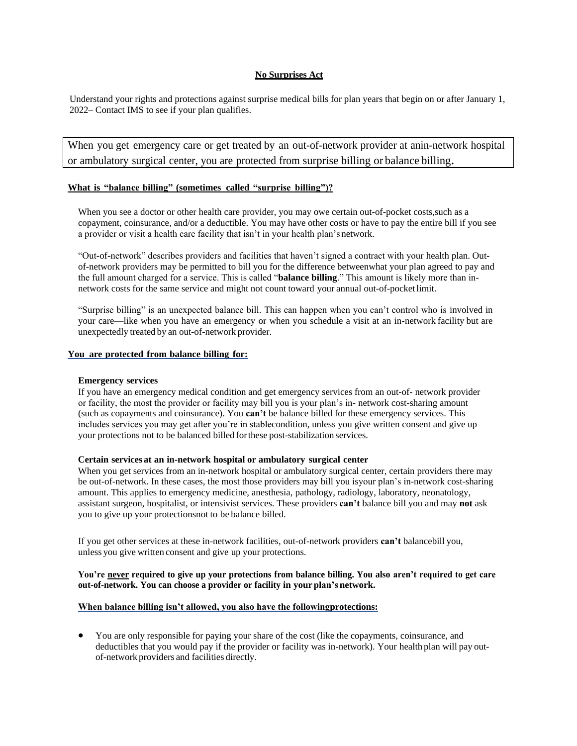# **No Surprises Act**

Understand your rights and protections against surprise medical bills for plan years that begin on or after January 1, 2022– Contact IMS to see if your plan qualifies.

When you get emergency care or get treated by an out-of-network provider at anin-network hospital or ambulatory surgical center, you are protected from surprise billing or balance billing.

## **What is "balance billing" (sometimes called "surprise billing")?**

When you see a doctor or other health care provider, you may owe certain out-of-pocket costs,such as a copayment, coinsurance, and/or a deductible. You may have other costs or have to pay the entire bill if you see a provider or visit a health care facility that isn't in your health plan's network.

"Out-of-network" describes providers and facilities that haven't signed a contract with your health plan. Outof-network providers may be permitted to bill you for the difference betweenwhat your plan agreed to pay and the full amount charged for a service. This is called "**balance billing**." This amount is likely more than innetwork costs for the same service and might not count toward your annual out-of-pocketlimit.

"Surprise billing" is an unexpected balance bill. This can happen when you can't control who is involved in your care—like when you have an emergency or when you schedule a visit at an in-network facility but are unexpectedly treated by an out-of-network provider.

### **You are protected from balance billing for:**

## **Emergency services**

If you have an emergency medical condition and get emergency services from an out-of- network provider or facility, the most the provider or facility may bill you is your plan's in- network cost-sharing amount (such as copayments and coinsurance). You **can't** be balance billed for these emergency services. This includes services you may get after you're in stablecondition, unless you give written consent and give up your protections not to be balanced billed forthese post-stabilization services.

### **Certain services at an in-network hospital or ambulatory surgical center**

When you get services from an in-network hospital or ambulatory surgical center, certain providers there may be out-of-network. In these cases, the most those providers may bill you isyour plan's in-network cost-sharing amount. This applies to emergency medicine, anesthesia, pathology, radiology, laboratory, neonatology, assistant surgeon, hospitalist, or intensivist services. These providers **can't** balance bill you and may **not** ask you to give up your protectionsnot to be balance billed.

If you get other services at these in-network facilities, out-of-network providers **can't** balancebill you, unless you give written consent and give up your protections.

**You're never required to give up your protections from balance billing. You also aren't required to get care out-of-network. You can choose a provider or facility in yourplan's network.**

#### **When balance billing isn't allowed, you also have the followingprotections:**

• You are only responsible for paying your share of the cost (like the copayments, coinsurance, and deductibles that you would pay if the provider or facility was in-network). Your health plan will pay outof-network providers and facilities directly.